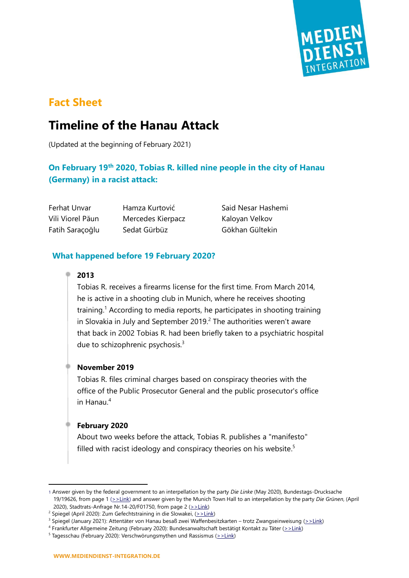

# **Fact Sheet**

# **Timeline of the Hanau Attack**

(Updated at the beginning of February 2021)

# **On February 19th 2020, Tobias R. killed nine people in the city of Hanau (Germany) in a racist attack:**

Vili Viorel Păun Mercedes Kierpacz Kaloyan Velkov Fatih Saraçoğlu Sedat Gürbüz Gökhan Gültekin

Ferhat Unvar Hamza Kurtović Said Nesar Hashemi

# **What happened before 19 February 2020?**

#### **2013**

Tobias R. receives a firearms license for the first time. From March 2014, he is active in a shooting club in Munich, where he receives shooting training.<sup>1</sup> According to media reports, he participates in shooting training in Slovakia in July and September 2019.<sup>2</sup> The authorities weren't aware that back in 2002 Tobias R. had been briefly taken to a psychiatric hospital due to schizophrenic psychosis. $3$ 

#### **November 2019**

Tobias R. files criminal charges based on conspiracy theories with the office of the Public Prosecutor General and the public prosecutor's office in Hanau. 4

#### **February 2020**

About two weeks before the attack, Tobias R. publishes a "manifesto" filled with racist ideology and conspiracy theories on his website.<sup>5</sup>

<sup>1</sup> Answer given by the federal government to an interpellation by the party *Die Linke* (May 2020), Bundestags-Drucksache 19/19626, from page 1 [\(>>Link\)](http://dip21.bundestag.de/dip21/btd/19/196/1919626.pdf) and answer given by the Munich Town Hall to an interpellation by the party *Die Grünen*, (April 2020), Stadtrats-Anfrage Nr.14-20/F01750, from page 2 ( $>$ Link)

<sup>&</sup>lt;sup>2</sup> Spiegel (April 2020): Zum Gefechtstraining in die Slowakei, [\(>>Link\)](https://www.spiegel.de/panorama/hanau-attentaeter-tobias-rathjen-zum-gefechtstraining-in-die-slowakei-a-00000000-0002-0001-0000-000170323260)

<sup>3</sup> Spiegel (January 2021): Attentäter von Hanau besaß zwei Waffenbesitzkarten – trotz Zwangseinweisung [\(>>Link\)](https://www.spiegel.de/panorama/gesellschaft/attentaeter-von-hanau-drei-waffenscheine-trotz-zwangseinweisung-a-44fe1fd4-1dfd-435b-8bf6-d98eed94bb23)

<sup>4</sup> Frankfurter Allgemeine Zeitung (February 2020): Bundesanwaltschaft bestätigt Kontakt zu Täter [\(>>Link\)](https://www.faz.net/aktuell/politik/inland/hanau-bundesanwaltschaft-bestaetigt-kontakt-zu-attentaeter-16645013.html)

<sup>&</sup>lt;sup>5</sup> Tagesschau (February 2020): Verschwörungsmythen und Rassismus [\(>>Link\)](https://www.tagesschau.de/investigativ/hanau-video-101.html)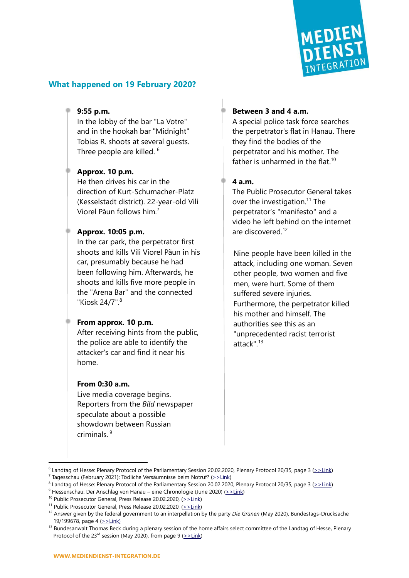

## **What happened on 19 February 2020?**

#### **9:55 p.m.**

In the lobby of the bar "La Votre" and in the hookah bar "Midnight" Tobias R. shoots at several guests. Three people are killed.  $^6$ 

## **Approx. 10 p.m.**

He then drives his car in the direction of Kurt-Schumacher-Platz (Kesselstadt district). 22-year-old Vili Viorel Păun follows him.<sup>7</sup>

#### **Approx. 10:05 p.m.**

In the car park, the perpetrator first shoots and kills Vili Viorel Păun in his car, presumably because he had been following him. Afterwards, he shoots and kills five more people in the "Arena Bar" and the connected "Kiosk 24/7".<sup>8</sup>

#### **From approx. 10 p.m.**

After receiving hints from the public, the police are able to identify the attacker's car and find it near his home.

#### **From 0:30 a.m.**

Live media coverage begins. Reporters from the *Bild* newspaper speculate about a possible showdown between Russian criminals. 9

## **Between 3 and 4 a.m.**

A special police task force searches the perpetrator's flat in Hanau. There they find the bodies of the perpetrator and his mother. The father is unharmed in the flat.<sup>10</sup>

#### **4 a.m.**

The Public Prosecutor General takes over the investigation. $11$  The perpetrator's "manifesto" and a video he left behind on the internet are discovered. 12

Nine people have been killed in the attack, including one woman. Seven other people, two women and five men, were hurt. Some of them suffered severe injuries. Furthermore, the perpetrator killed his mother and himself. The authorities see this as an "unprecedented racist terrorist attack $n^{13}$ 

<sup>&</sup>lt;sup>6</sup> Landtag of Hesse: Plenary Protocol of the Parliamentary Session 20.02.2020, Plenary Protocol 20/35, page 3 [\(>>Link\)](https://hessischer-landtag.de/sites/default/files/scald/files/035_PL.pdf#page=3)

<sup>&</sup>lt;sup>7</sup> Tagesschau (February 2021): Tödliche Versäumnisse beim Notruf? [\(>>Link\)](https://www.tagesschau.de/investigativ/monitor/hanau-anschlag-versaeumnisse-101.html)

<sup>&</sup>lt;sup>8</sup> Landtag of Hesse: Plenary Protocol of the Parliamentary Session 20.02.2020, Plenary Protocol 20/35, page 3 [\(>>Link\)](https://hessischer-landtag.de/sites/default/files/scald/files/035_PL.pdf#page=3)

<sup>9</sup> Hessenschau: Der Anschlag von Hanau – eine Chronologie (June 2020) [\(>>Link\)](https://www.hessenschau.de/gesellschaft/100-tage-nach-dem-rassistischen-terror-der-anschlag-von-hanau---eine-chronologie,hanau-100tage-chronologie-100.html)

<sup>&</sup>lt;sup>10</sup> Public Prosecutor General, Press Release 20.02.2020,  $(2)$ -Link)

<sup>&</sup>lt;sup>11</sup> Public Prosecutor General, Press Release 20.02.2020,  $(2)$ -Link)

<sup>12</sup> Answer given by the federal government to an interpellation by the party *Die Grünen* (May 2020), Bundestags-Drucksache 19/199678, page 4 [\(>>Link\)](http://dip21.bundestag.de/dip21/btd/19/196/1919678.pdf#page=4)

<sup>&</sup>lt;sup>13</sup> Bundesanwalt Thomas Beck during a plenary session of the home affairs select committee of the Landtag of Hesse, Plenary Protocol of the 23<sup>rd</sup> session (May 2020), from page 9 ( $>$ Link)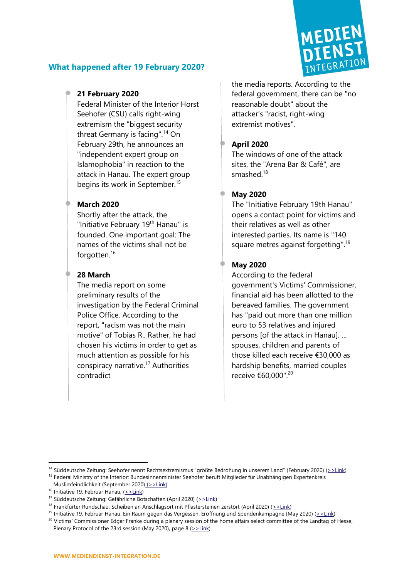

# **What happened after 19 February 2020?**

# **21 February 2020**

Federal Minister of the Interior Horst Seehofer (CSU) calls right-wing extremism the "biggest security threat Germany is facing".<sup>14</sup> On February 29th, he announces an "independent expert group on Islamophobia" in reaction to the attack in Hanau. The expert group begins its work in September.<sup>15</sup>

# **March 2020**

Shortly after the attack, the "Initiative February 19<sup>th</sup> Hanau" is founded. One important goal: The names of the victims shall not be forgotten.<sup>16</sup>

# **28 March**

The media report on some preliminary results of the investigation by the Federal Criminal Police Office. According to the report, "racism was not the main motive" of Tobias R.. Rather, he had chosen his victims in order to get as much attention as possible for his conspiracy narrative.<sup>17</sup> Authorities contradict

the media reports. According to the federal government, there can be "no reasonable doubt" about the attacker's "racist, right-wing extremist motives".

# **April 2020**

The windows of one of the attack sites, the "Arena Bar & Café", are smashed.<sup>18</sup>

# **May 2020**

The "Initiative February 19th Hanau" opens a contact point for victims and their relatives as well as other interested parties. Its name is "140 square metres against forgetting".<sup>19</sup>

# **May 2020**

According to the federal government's Victims' Commissioner, financial aid has been allotted to the bereaved families. The government has "paid out more than one million euro to 53 relatives and injured persons [of the attack in Hanau]. ... spouses, children and parents of those killed each receive €30,000 as hardship benefits, married couples receive €60,000".<sup>20</sup>

<sup>14</sup> Süddeutsche Zeitung: Seehofer nennt Rechtsextremismus "größte Bedrohung in unserem Land" (February 2020) [\(>>Link\)](http://www.sueddeutsche.de/politik/hanau-anschlag-bundespressekonferenz-1.4809324)

<sup>&</sup>lt;sup>15</sup> Federal Ministry of the Interior: Bundesinnenminister Seehofer beruft Mitglieder für Unabhängigen Expertenkreis

Muslimfeindlichkeit (September 2020) [\(>>Link\)](https://www.bmi.bund.de/SharedDocs/pressemitteilungen/DE/2020/09/expertenkreis-muslimfeindlichkeit.html)

 $16$  Initiative 19. Februar Hanau, ( $>$ Link)

<sup>&</sup>lt;sup>17</sup> Süddeutsche Zeitung: Gefährliche Botschaften (April 2020) ( $>$ Link)

<sup>&</sup>lt;sup>18</sup> Frankfurter Rundschau: Scheiben an Anschlagsort mit Pflastersteinen zerstört (April 2020) ( $\ge$ Link)

<sup>&</sup>lt;sup>19</sup> Initiative 19. Februar Hanau: Ein Raum gegen das Vergessen: Eröffnung und Spendenkampagne (May 2020) ( $\geq$ Link)

<sup>&</sup>lt;sup>20</sup> Victims' Commissioner Edgar Franke during a plenary session of the home affairs select committee of the Landtag of Hesse, Plenary Protocol of the 23rd session (May 2020), page 8 ( $\ge$ >Link)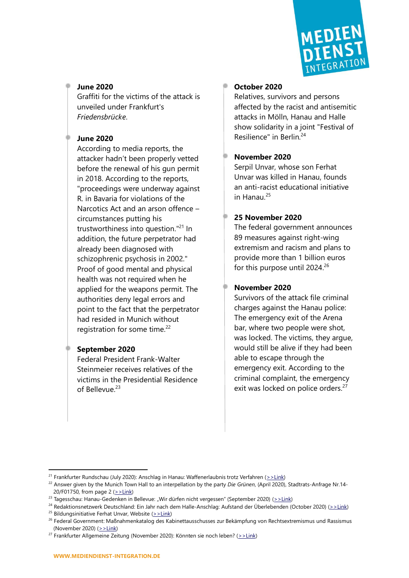

# **June 2020**

Graffiti for the victims of the attack is unveiled under Frankfurt's *Friedensbrücke*.

#### **June 2020**

According to media reports, the attacker hadn't been properly vetted before the renewal of his gun permit in 2018. According to the reports, "proceedings were underway against R. in Bavaria for violations of the Narcotics Act and an arson offence – circumstances putting his trustworthiness into question."<sup>21</sup> In addition, the future perpetrator had already been diagnosed with schizophrenic psychosis in 2002." Proof of good mental and physical health was not required when he applied for the weapons permit. The authorities deny legal errors and point to the fact that the perpetrator had resided in Munich without registration for some time.<sup>22</sup>

## **September 2020**

Federal President Frank-Walter Steinmeier receives relatives of the victims in the Presidential Residence of Bellevue.<sup>23</sup>

#### **October 2020**

Relatives, survivors and persons affected by the racist and antisemitic attacks in Mölln, Hanau and Halle show solidarity in a joint "Festival of Resilience" in Berlin.<sup>24</sup>

## **November 2020**

Serpil Unvar, whose son Ferhat Unvar was killed in Hanau, founds an anti-racist educational initiative in Hanau.<sup>25</sup>

#### **25 November 2020**

The federal government announces 89 measures against right-wing extremism and racism and plans to provide more than 1 billion euros for this purpose until 2024. 26

# **November 2020**

Survivors of the attack file criminal charges against the Hanau police: The emergency exit of the Arena bar, where two people were shot, was locked. The victims, they argue, would still be alive if they had been able to escape through the emergency exit. According to the criminal complaint, the emergency exit was locked on police orders.<sup>27</sup>

<sup>&</sup>lt;sup>21</sup> Frankfurter Rundschau (July 2020): Anschlag in Hanau: Waffenerlaubnis trotz Verfahren ( $>$ Link)

<sup>22</sup> Answer given by the Munich Town Hall to an interpellation by the party *Die Grünen*, (April 2020), Stadtrats-Anfrage Nr.14- 20/F01750, from page 2 ( $>$ Link)

<sup>&</sup>lt;sup>23</sup> Tagesschau: Hanau-Gedenken in Bellevue: "Wir dürfen nicht vergessen" (September 2020) [\(>>Link\)](https://www.tagesschau.de/inland/hanau-gedenken-111.html)

<sup>&</sup>lt;sup>24</sup> Redaktionsnetzwerk Deutschland: Ein Jahr nach dem Halle-Anschlag: Aufstand der Überlebenden (October 2020) ( $\ge$ Link)

<sup>&</sup>lt;sup>25</sup> Bildungsinitiative Ferhat Unvar, Website  $(2)$ -Link)

<sup>&</sup>lt;sup>26</sup> Federal Government: Maßnahmenkatalog des Kabinettausschusses zur Bekämpfung von Rechtsextremismus und Rassismus (November 2020) [\(>>Link\)](https://www.bundesregierung.de/resource/blob/997532/1819984/4f1f9683cf3faddf90e27f09c692abed/2020-11-25-massnahmen-rechtsextremi-data.pdf?download=1)

<sup>&</sup>lt;sup>27</sup> Frankfurter Allgemeine Zeitung (November 2020): Könnten sie noch leben? ( $>$ Link)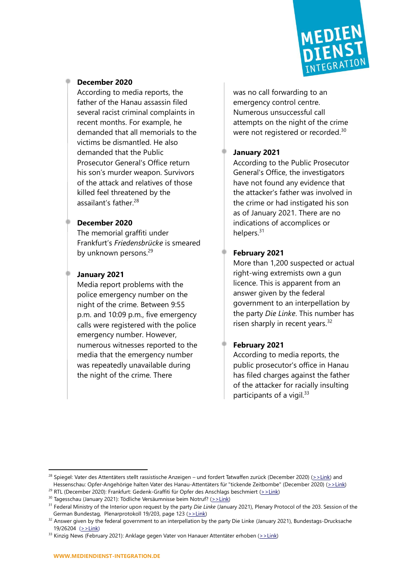

#### **December 2020**

According to media reports, the father of the Hanau assassin filed several racist criminal complaints in recent months. For example, he demanded that all memorials to the victims be dismantled. He also demanded that the Public Prosecutor General's Office return his son's murder weapon. Survivors of the attack and relatives of those killed feel threatened by the assailant's father  $28$ 

#### **December 2020**

The memorial graffiti under Frankfurt's *Friedensbrücke* is smeared by unknown persons.<sup>29</sup>

## **January 2021**

Media report problems with the police emergency number on the night of the crime. Between 9:55 p.m. and 10:09 p.m., five emergency calls were registered with the police emergency number. However, numerous witnesses reported to the media that the emergency number was repeatedly unavailable during the night of the crime. There

was no call forwarding to an emergency control centre. Numerous unsuccessful call attempts on the night of the crime were not registered or recorded.<sup>30</sup>

# **January 2021**

According to the Public Prosecutor General's Office, the investigators have not found any evidence that the attacker's father was involved in the crime or had instigated his son as of January 2021. There are no indications of accomplices or helpers.<sup>31</sup>

## **February 2021**

More than 1,200 suspected or actual right-wing extremists own a gun licence. This is apparent from an answer given by the federal government to an interpellation by the party *Die Linke*. This number has risen sharply in recent years.<sup>32</sup>

# **February 2021**

According to media reports, the public prosecutor's office in Hanau has filed charges against the father of the attacker for racially insulting participants of a vigil. $33$ 

<sup>&</sup>lt;sup>28</sup> Spiegel: Vater des Attentäters stellt rassistische Anzeigen – und fordert Tatwaffen zurück (December 2020) [\(>>Link\)](https://www.spiegel.de/panorama/justiz/hanau-attentat-vater-fordert-tatwaffen-zurueck-a-f2223a81-26a2-45fb-b8b4-aa30651896d8) and Hessenschau: Opfer-Angehörige halten Vater des Hanau-Attentäters für "tickende Zeitbombe" (December 2020) [\(>>Link\)](https://www.hessenschau.de/gesellschaft/opfer-angehoerige-halten-vater-des-hanau-attentaeters-fuer-tickende-zeitbombe,hanau-angehoerige-100.html)

<sup>&</sup>lt;sup>29</sup> RTL (December 2020): Frankfurt: Gedenk-Graffiti für Opfer des Anschlags beschmiert [\(>>Link\)](https://www.rtl.de/cms/unbekannte-beschmieren-graffiti-fuer-hanau-opfer-unter-frankfurter-friedensbruecke-4675572.html)

<sup>&</sup>lt;sup>30</sup> Tagesschau (January 2021): Tödliche Versäumnisse beim Notruf? [\(>>Link\)](https://www.tagesschau.de/investigativ/monitor/hanau-anschlag-versaeumnisse-101.html)

<sup>31</sup> Federal Ministry of the Interior upon request by the party *Die Linke* (January 2021), Plenary Protocol of the 203. Session of the German Bundestag, Plenarprotokoll 19/203, page 123 [\(>>Link\)](http://dip21.bundestag.de/dip21/btp/19/19203.pdf#P.25540)

<sup>&</sup>lt;sup>32</sup> Answer given by the federal government to an interpellation by the party Die Linke (January 2021), Bundestags-Drucksache 19/26204 [\(>>Link\)](https://dip21.bundestag.de/dip21/btd/19/262/1926204.pdf)

 $33$  Kinzig News (February 2021): Anklage gegen Vater von Hanauer Attentäter erhoben ( $>$ Link)